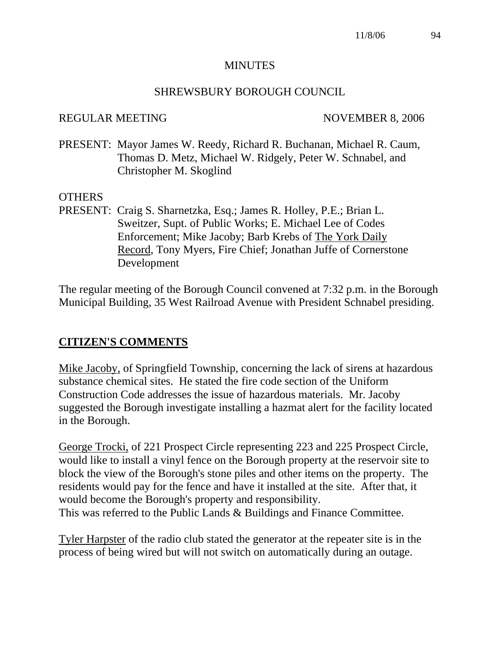#### **MINUTES**

#### SHREWSBURY BOROUGH COUNCIL

#### REGULAR MEETING NOVEMBER 8, 2006

PRESENT: Mayor James W. Reedy, Richard R. Buchanan, Michael R. Caum, Thomas D. Metz, Michael W. Ridgely, Peter W. Schnabel, and Christopher M. Skoglind

## OTHERS

PRESENT: Craig S. Sharnetzka, Esq.; James R. Holley, P.E.; Brian L. Sweitzer, Supt. of Public Works; E. Michael Lee of Codes Enforcement; Mike Jacoby; Barb Krebs of The York Daily Record, Tony Myers, Fire Chief; Jonathan Juffe of Cornerstone Development

The regular meeting of the Borough Council convened at 7:32 p.m. in the Borough Municipal Building, 35 West Railroad Avenue with President Schnabel presiding.

# **CITIZEN'S COMMENTS**

Mike Jacoby, of Springfield Township, concerning the lack of sirens at hazardous substance chemical sites. He stated the fire code section of the Uniform Construction Code addresses the issue of hazardous materials. Mr. Jacoby suggested the Borough investigate installing a hazmat alert for the facility located in the Borough.

George Trocki, of 221 Prospect Circle representing 223 and 225 Prospect Circle, would like to install a vinyl fence on the Borough property at the reservoir site to block the view of the Borough's stone piles and other items on the property. The residents would pay for the fence and have it installed at the site. After that, it would become the Borough's property and responsibility. This was referred to the Public Lands & Buildings and Finance Committee.

Tyler Harpster of the radio club stated the generator at the repeater site is in the process of being wired but will not switch on automatically during an outage.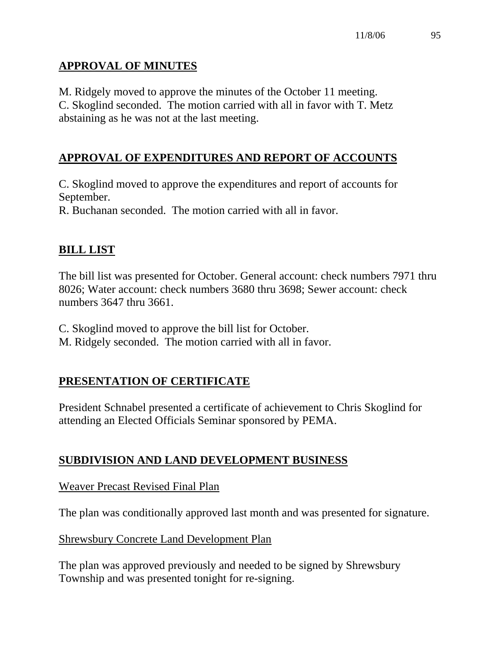# **APPROVAL OF MINUTES**

M. Ridgely moved to approve the minutes of the October 11 meeting. C. Skoglind seconded. The motion carried with all in favor with T. Metz abstaining as he was not at the last meeting.

# **APPROVAL OF EXPENDITURES AND REPORT OF ACCOUNTS**

C. Skoglind moved to approve the expenditures and report of accounts for September.

R. Buchanan seconded. The motion carried with all in favor.

# **BILL LIST**

The bill list was presented for October. General account: check numbers 7971 thru 8026; Water account: check numbers 3680 thru 3698; Sewer account: check numbers 3647 thru 3661.

C. Skoglind moved to approve the bill list for October.

M. Ridgely seconded. The motion carried with all in favor.

# **PRESENTATION OF CERTIFICATE**

President Schnabel presented a certificate of achievement to Chris Skoglind for attending an Elected Officials Seminar sponsored by PEMA.

# **SUBDIVISION AND LAND DEVELOPMENT BUSINESS**

Weaver Precast Revised Final Plan

The plan was conditionally approved last month and was presented for signature.

Shrewsbury Concrete Land Development Plan

The plan was approved previously and needed to be signed by Shrewsbury Township and was presented tonight for re-signing.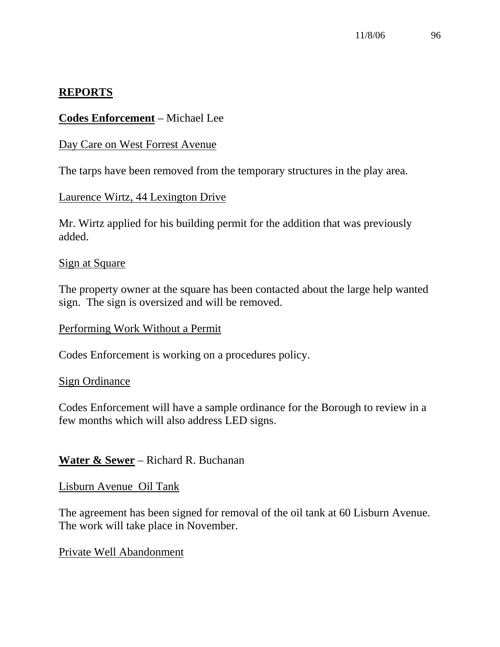## **REPORTS**

## **Codes Enforcement** – Michael Lee

#### Day Care on West Forrest Avenue

The tarps have been removed from the temporary structures in the play area.

## Laurence Wirtz, 44 Lexington Drive

Mr. Wirtz applied for his building permit for the addition that was previously added.

#### Sign at Square

The property owner at the square has been contacted about the large help wanted sign. The sign is oversized and will be removed.

#### Performing Work Without a Permit

Codes Enforcement is working on a procedures policy.

#### Sign Ordinance

Codes Enforcement will have a sample ordinance for the Borough to review in a few months which will also address LED signs.

## **Water & Sewer** – Richard R. Buchanan

#### Lisburn Avenue Oil Tank

The agreement has been signed for removal of the oil tank at 60 Lisburn Avenue. The work will take place in November.

#### Private Well Abandonment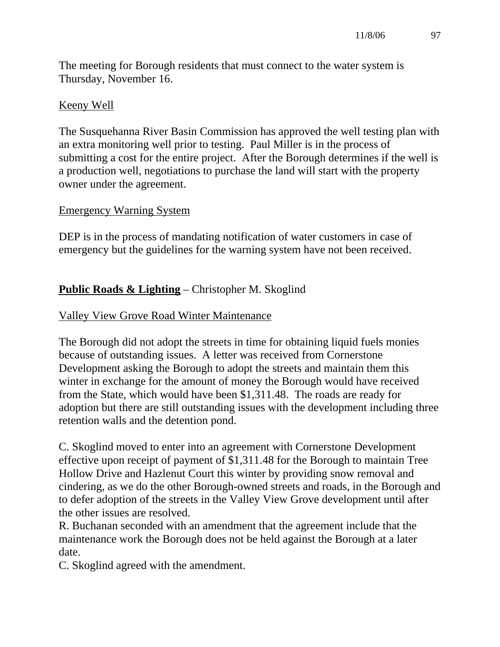The meeting for Borough residents that must connect to the water system is Thursday, November 16.

## Keeny Well

The Susquehanna River Basin Commission has approved the well testing plan with an extra monitoring well prior to testing. Paul Miller is in the process of submitting a cost for the entire project. After the Borough determines if the well is a production well, negotiations to purchase the land will start with the property owner under the agreement.

## Emergency Warning System

DEP is in the process of mandating notification of water customers in case of emergency but the guidelines for the warning system have not been received.

# **Public Roads & Lighting** – Christopher M. Skoglind

## Valley View Grove Road Winter Maintenance

The Borough did not adopt the streets in time for obtaining liquid fuels monies because of outstanding issues. A letter was received from Cornerstone Development asking the Borough to adopt the streets and maintain them this winter in exchange for the amount of money the Borough would have received from the State, which would have been \$1,311.48. The roads are ready for adoption but there are still outstanding issues with the development including three retention walls and the detention pond.

C. Skoglind moved to enter into an agreement with Cornerstone Development effective upon receipt of payment of \$1,311.48 for the Borough to maintain Tree Hollow Drive and Hazlenut Court this winter by providing snow removal and cindering, as we do the other Borough-owned streets and roads, in the Borough and to defer adoption of the streets in the Valley View Grove development until after the other issues are resolved.

R. Buchanan seconded with an amendment that the agreement include that the maintenance work the Borough does not be held against the Borough at a later date.

C. Skoglind agreed with the amendment.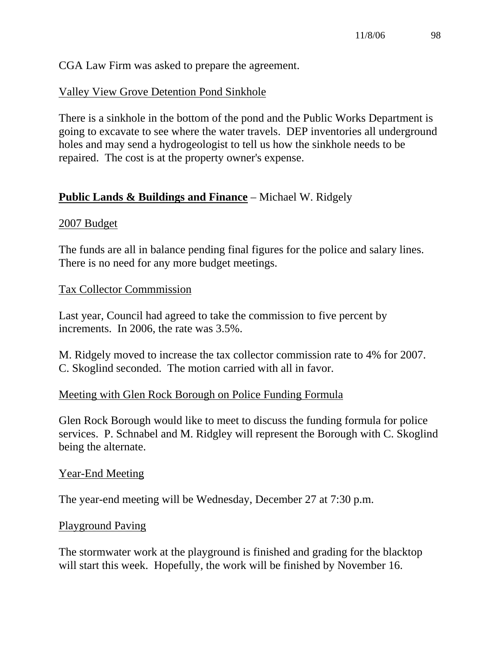CGA Law Firm was asked to prepare the agreement.

# Valley View Grove Detention Pond Sinkhole

There is a sinkhole in the bottom of the pond and the Public Works Department is going to excavate to see where the water travels. DEP inventories all underground holes and may send a hydrogeologist to tell us how the sinkhole needs to be repaired. The cost is at the property owner's expense.

# **Public Lands & Buildings and Finance** – Michael W. Ridgely

## 2007 Budget

The funds are all in balance pending final figures for the police and salary lines. There is no need for any more budget meetings.

## Tax Collector Commmission

Last year, Council had agreed to take the commission to five percent by increments. In 2006, the rate was 3.5%.

M. Ridgely moved to increase the tax collector commission rate to 4% for 2007. C. Skoglind seconded. The motion carried with all in favor.

## Meeting with Glen Rock Borough on Police Funding Formula

Glen Rock Borough would like to meet to discuss the funding formula for police services. P. Schnabel and M. Ridgley will represent the Borough with C. Skoglind being the alternate.

## Year-End Meeting

The year-end meeting will be Wednesday, December 27 at 7:30 p.m.

## Playground Paving

The stormwater work at the playground is finished and grading for the blacktop will start this week. Hopefully, the work will be finished by November 16.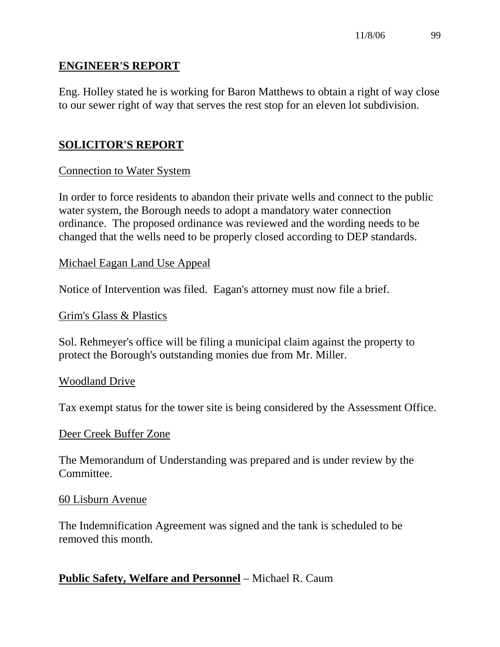## **ENGINEER'S REPORT**

Eng. Holley stated he is working for Baron Matthews to obtain a right of way close to our sewer right of way that serves the rest stop for an eleven lot subdivision.

# **SOLICITOR'S REPORT**

## Connection to Water System

In order to force residents to abandon their private wells and connect to the public water system, the Borough needs to adopt a mandatory water connection ordinance. The proposed ordinance was reviewed and the wording needs to be changed that the wells need to be properly closed according to DEP standards.

#### Michael Eagan Land Use Appeal

Notice of Intervention was filed. Eagan's attorney must now file a brief.

#### Grim's Glass & Plastics

Sol. Rehmeyer's office will be filing a municipal claim against the property to protect the Borough's outstanding monies due from Mr. Miller.

#### Woodland Drive

Tax exempt status for the tower site is being considered by the Assessment Office.

## Deer Creek Buffer Zone

The Memorandum of Understanding was prepared and is under review by the Committee.

#### 60 Lisburn Avenue

The Indemnification Agreement was signed and the tank is scheduled to be removed this month.

## **Public Safety, Welfare and Personnel** – Michael R. Caum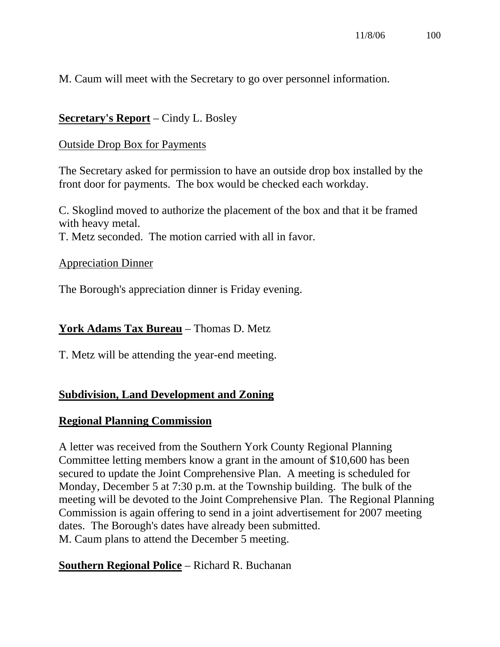M. Caum will meet with the Secretary to go over personnel information.

# **Secretary's Report** – Cindy L. Bosley

## Outside Drop Box for Payments

The Secretary asked for permission to have an outside drop box installed by the front door for payments. The box would be checked each workday.

C. Skoglind moved to authorize the placement of the box and that it be framed with heavy metal.

T. Metz seconded. The motion carried with all in favor.

## Appreciation Dinner

The Borough's appreciation dinner is Friday evening.

# **York Adams Tax Bureau** – Thomas D. Metz

T. Metz will be attending the year-end meeting.

# **Subdivision, Land Development and Zoning**

# **Regional Planning Commission**

A letter was received from the Southern York County Regional Planning Committee letting members know a grant in the amount of \$10,600 has been secured to update the Joint Comprehensive Plan. A meeting is scheduled for Monday, December 5 at 7:30 p.m. at the Township building. The bulk of the meeting will be devoted to the Joint Comprehensive Plan. The Regional Planning Commission is again offering to send in a joint advertisement for 2007 meeting dates. The Borough's dates have already been submitted. M. Caum plans to attend the December 5 meeting.

# **Southern Regional Police** – Richard R. Buchanan